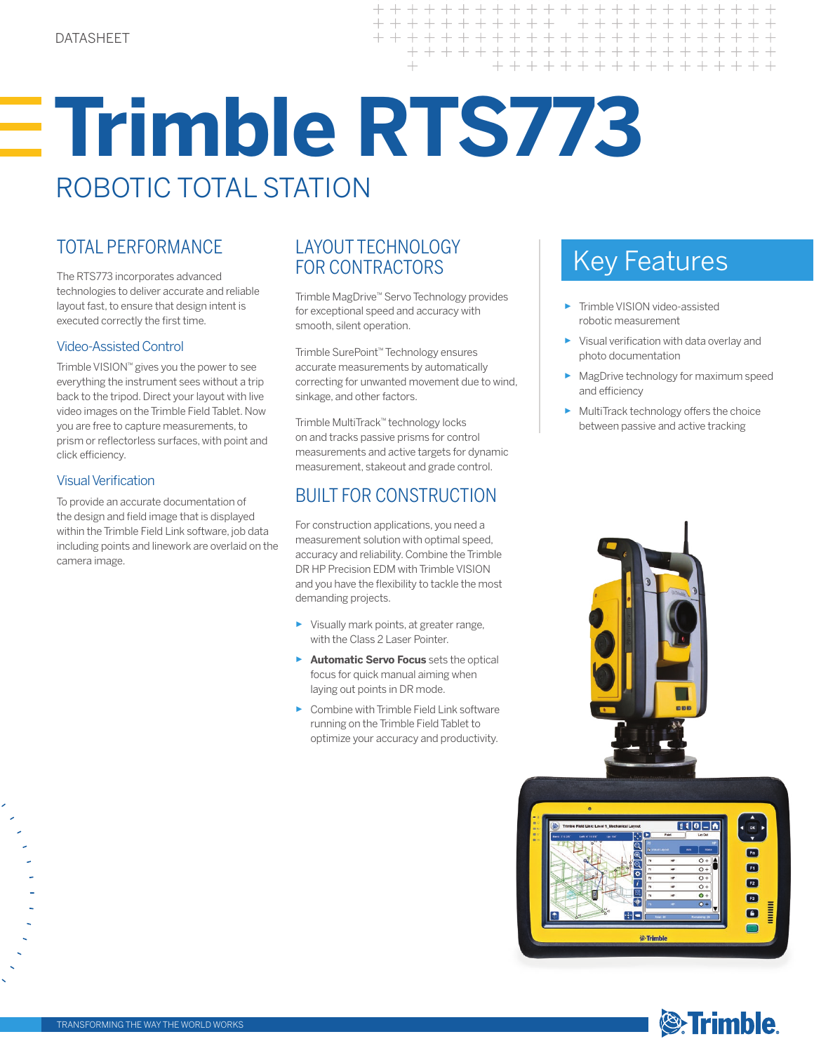# **Trimble RTS773**  ROBOTIC TOTAL STATION

The RTS773 incorporates advanced technologies to deliver accurate and reliable layout fast, to ensure that design intent is executed correctly the first time.

# Video-Assisted Control

Trimble VISION™ gives you the power to see everything the instrument sees without a trip back to the tripod. Direct your layout with live video images on the Trimble Field Tablet. Now you are free to capture measurements, to prism or reflectorless surfaces, with point and click efficiency.

# Visual Verification

To provide an accurate documentation of the design and field image that is displayed within the Trimble Field Link software, job data including points and linework are overlaid on the camera image.

## TOTAL PERFORMANCE LAYOUT TECHNOLOGY<br>
FOR CONTRACTORS FOR SALL REVISEALLY ESTIMATIONS LAYOUT TECHNOLOGY FOR CONTRACTORS

Trimble MagDrive™ Servo Technology provides for exceptional speed and accuracy with smooth, silent operation.

Trimble SurePoint™ Technology ensures accurate measurements by automatically correcting for unwanted movement due to wind, sinkage, and other factors.

Trimble MultiTrack™ technology locks on and tracks passive prisms for control measurements and active targets for dynamic measurement, stakeout and grade control.

# BUILT FOR CONSTRUCTION

For construction applications, you need a measurement solution with optimal speed, accuracy and reliability. Combine the Trimble DR HP Precision EDM with Trimble VISION and you have the flexibility to tackle the most demanding projects.

- ► Visually mark points, at greater range, with the Class 2 Laser Pointer.
- ► **Automatic Servo Focus** sets the optical focus for quick manual aiming when laying out points in DR mode.
- ► Combine with Trimble Field Link software running on the Trimble Field Tablet to optimize your accuracy and productivity.

- ► Trimble VISION video-assisted robotic measurement
- ► Visual verification with data overlay and photo documentation
- ► MagDrive technology for maximum speed and efficiency
- ► MultiTrack technology offers the choice between passive and active tracking